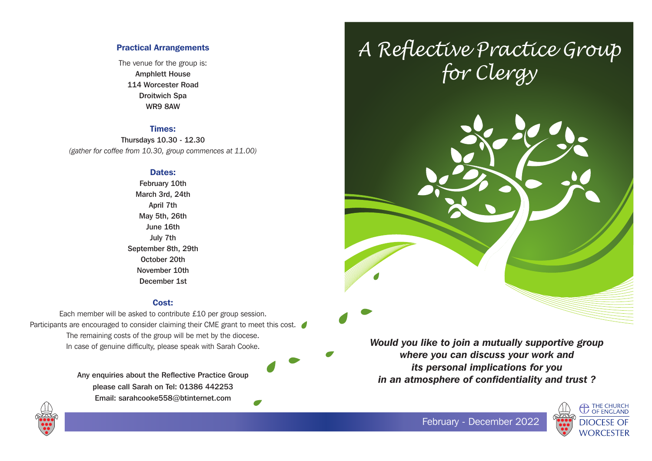## Practical Arrangements

The venue for the group is: Amphlett House 114 Worcester Road Droitwich Spa WR9 8AW

## Times:

Thursdays 10.30 - 12.30 *(gather for coffee from 10.30, group commences at 11.00)*

#### Dates:

February 10th March 3rd, 24th April 7th May 5th, 26th June 16th July 7th September 8th, 29th October 20th November 10th December 1st

#### Cost:

Each member will be asked to contribute £10 per group session. Participants are encouraged to consider claiming their CME grant to meet this cost. The remaining costs of the group will be met by the diocese. In case of genuine difficulty, please speak with Sarah Cooke.

> Any enquiries about the Reflective Practice Group please call Sarah on Tel: 01386 442253 Email: sarahcooke558@btinternet.com

 $\bullet$ 

# *A Reflective Practice Group for Clergy*



*Would you like to join a mutually supportive group where you can discuss your work and its personal implications for you in an atmosphere of confidentiality and trust ?*